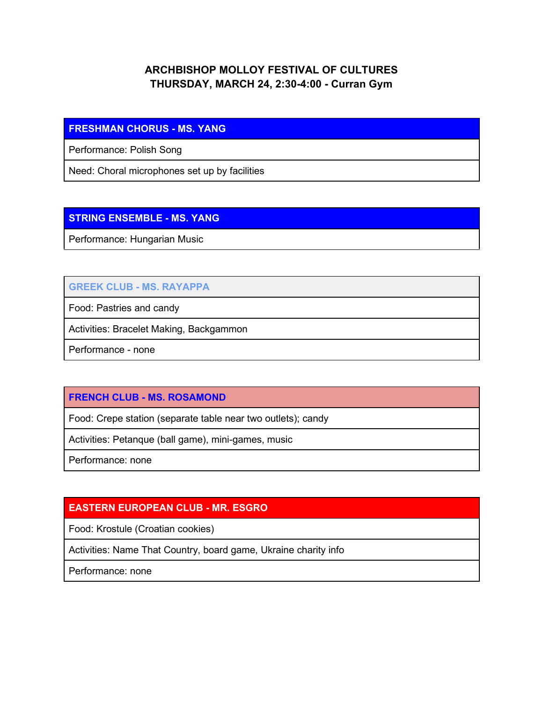# **ARCHBISHOP MOLLOY FESTIVAL OF CULTURES THURSDAY, MARCH 24, 2:30-4:00 - Curran Gym**

#### **FRESHMAN CHORUS - MS. YANG**

Performance: Polish Song

Need: Choral microphones set up by facilities

# **STRING ENSEMBLE - MS. YANG**

Performance: Hungarian Music

# **GREEK CLUB - MS. RAYAPPA**

Food: Pastries and candy

Activities: Bracelet Making, Backgammon

Performance - none

# **FRENCH CLUB - MS. ROSAMOND**

Food: Crepe station (separate table near two outlets); candy

Activities: Petanque (ball game), mini-games, music

Performance: none

# **EASTERN EUROPEAN CLUB - MR. ESGRO**

Food: Krostule (Croatian cookies)

Activities: Name That Country, board game, Ukraine charity info

Performance: none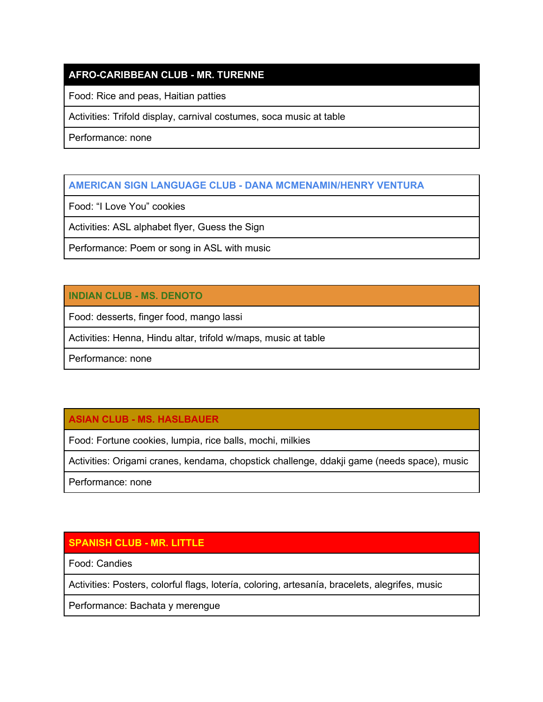# **AFRO-CARIBBEAN CLUB - MR. TURENNE**

Food: Rice and peas, Haitian patties

Activities: Trifold display, carnival costumes, soca music at table

Performance: none

#### **AMERICAN SIGN LANGUAGE CLUB - DANA MCMENAMIN/HENRY VENTURA**

Food: "I Love You" cookies

Activities: ASL alphabet flyer, Guess the Sign

Performance: Poem or song in ASL with music

### **INDIAN CLUB - MS. DENOTO**

Food: desserts, finger food, mango lassi

Activities: Henna, Hindu altar, trifold w/maps, music at table

Performance: none

# **ASIAN CLUB - MS. HASLBAUER**

Food: Fortune cookies, lumpia, rice balls, mochi, milkies

Activities: Origami cranes, kendama, chopstick challenge, ddakji game (needs space), music

Performance: none

# **SPANISH CLUB - MR. LITTLE**

Food: Candies

Activities: Posters, colorful flags, lotería, coloring, artesanía, bracelets, alegrifes, music

Performance: Bachata y merengue